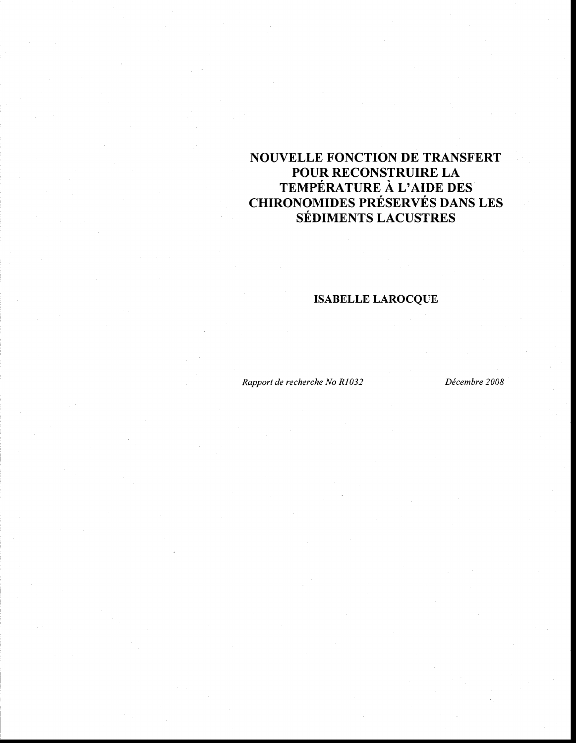# **NOUVELLE FONCTION DE TRANSFERT POUR RECONSTRUIRE LA TEMPÉRATURE À L'AIDE DES CHIRONOMIDES PRÉSERVÉS DANS LES SÉDIMENTS LACUSTRES**

# **ISABELLE LAROCQUE**

*Rapport de recherche No RI032 Décembre 2008*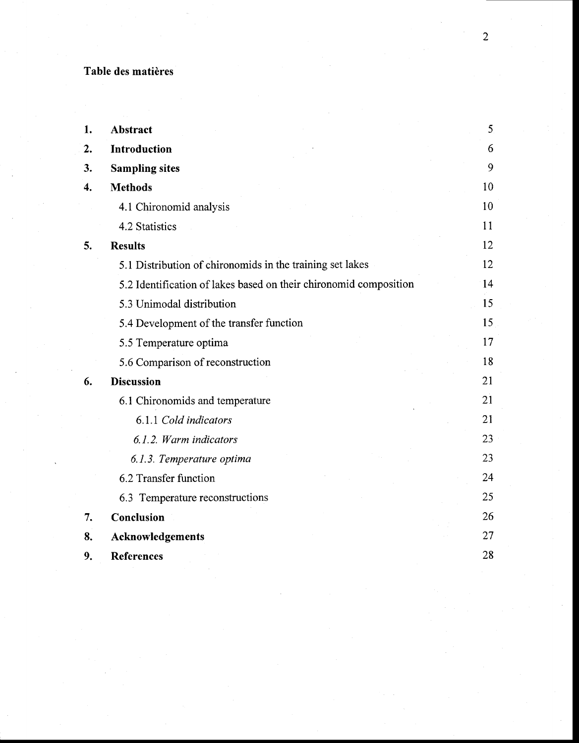# **Table des matières**

| 1. | Abstract                                                          | 5 <sub>1</sub> |
|----|-------------------------------------------------------------------|----------------|
| 2. | Introduction                                                      | 6              |
| 3. | <b>Sampling sites</b>                                             | 9              |
| 4. | <b>Methods</b>                                                    | 10             |
|    | 4.1 Chironomid analysis                                           | 10             |
|    | 4.2 Statistics                                                    | 11             |
| 5. | <b>Results</b>                                                    | 12             |
|    | 5.1 Distribution of chironomids in the training set lakes         | 12             |
|    | 5.2 Identification of lakes based on their chironomid composition | 14             |
|    | 5.3 Unimodal distribution                                         | 15             |
|    | 5.4 Development of the transfer function                          | 15             |
|    | 5.5 Temperature optima                                            | 17             |
|    | 5.6 Comparison of reconstruction                                  | 18             |
| 6. | <b>Discussion</b>                                                 | 21             |
|    | 6.1 Chironomids and temperature                                   | 21             |
|    | 6.1.1 Cold indicators                                             | 21             |
|    | 6.1.2. Warm indicators                                            | 23             |
|    | 6.1.3. Temperature optima                                         | 23             |
|    | 6.2 Transfer function                                             | 24             |
|    | 6.3 Temperature reconstructions                                   | 25             |
| 7. | Conclusion                                                        | 26             |
| 8. | Acknowledgements                                                  | 27             |
| 9. | <b>References</b>                                                 | 28             |

2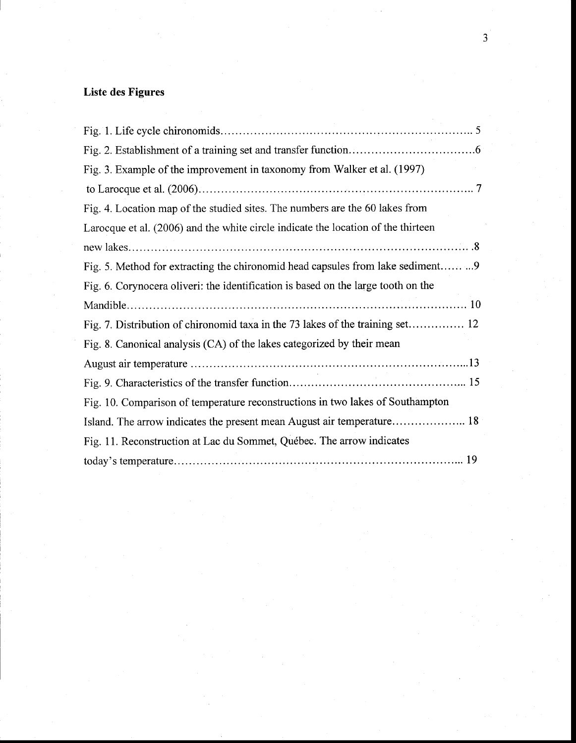# Liste des **Figures**

| Fig. 3. Example of the improvement in taxonomy from Walker et al. (1997)          |
|-----------------------------------------------------------------------------------|
|                                                                                   |
| Fig. 4. Location map of the studied sites. The numbers are the 60 lakes from      |
| Larocque et al. (2006) and the white circle indicate the location of the thirteen |
|                                                                                   |
| Fig. 5. Method for extracting the chironomid head capsules from lake sediment9    |
| Fig. 6. Corynocera oliveri: the identification is based on the large tooth on the |
|                                                                                   |
| Fig. 7. Distribution of chironomid taxa in the 73 lakes of the training set 12    |
| Fig. 8. Canonical analysis (CA) of the lakes categorized by their mean            |
|                                                                                   |
|                                                                                   |
| Fig. 10. Comparison of temperature reconstructions in two lakes of Southampton    |
| Island. The arrow indicates the present mean August air temperature 18            |
| Fig. 11. Reconstruction at Lac du Sommet, Québec. The arrow indicates             |
|                                                                                   |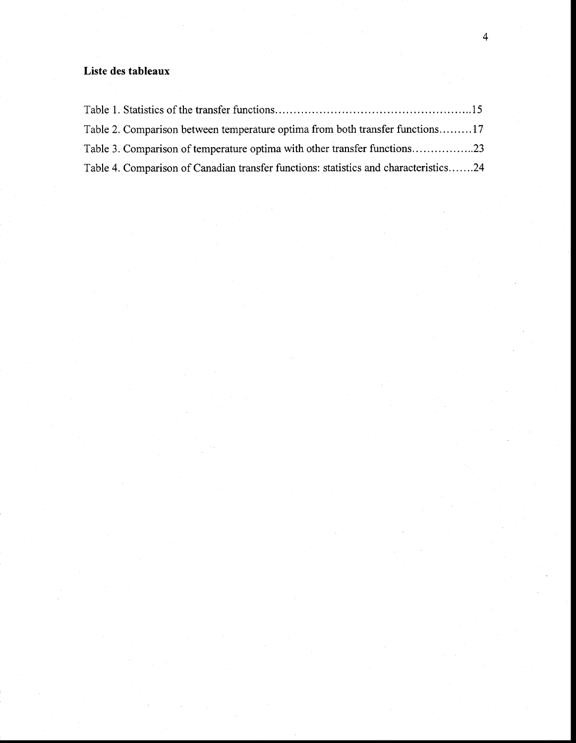# **Liste des tableaux**

| Table 2. Comparison between temperature optima from both transfer functions17        |
|--------------------------------------------------------------------------------------|
| Table 3. Comparison of temperature optima with other transfer functions23            |
| Table 4. Comparison of Canadian transfer functions: statistics and characteristics24 |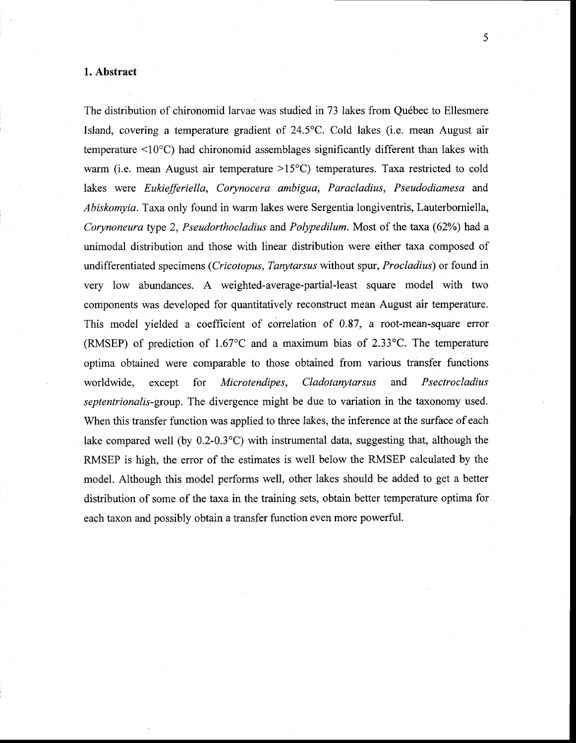#### **1. Abstract**

The distribution of chironomid larvae was studied in 73 lakes from Québec to Ellesmere Island, covering a temperature gradient of 24.5°C. Cold lakes (i.e. mean August air temperature <10°C) had chironomid assemblages significantly different than lakes with warm (i.e. mean August air temperature  $>15^{\circ}$ C) temperatures. Taxa restricted to cold lakes were *Eukiefferiella, Corynocera ambigua, Paracladius, Pseudodiamesa* and *Abiskomyia.* Taxa only found in warm lakes were Sergentia longiventris, Lauterborniella, *Corynoneura* type 2, *Pseudorthocladius* and *Polypedilum.* Most of the taxa (62%) had a unimodal distribution and those with linear distribution were either taxa composed of undifferentiated specimens *(Cricotopus, Tanytarsus* without spur, *Procladius)* or found in very low abundances. A weighted-average-partial-Ieast square model with two components was developed for quantitatively reconstruct mean August air temperature. This model yielded a coefficient of correlation of 0.87, a root-mean-square error (RMSEP) of prediction of 1.67°C and a maximum bias of 2.33°C. The temperature optima obtained were comparable to those obtained from various transfer functions worldwide, except for *Microtendipes, Cladotanytarsus* and *Psectrocladius septentrionalis-group.* The divergence might be due to variation in the taxonomy used. When this transfer function was applied to three lakes, the inference at the surface of each lake compared weIl (by 0.2-0.3°C) with instrumental data, suggesting that, although the RMSEP is high, the error of the estimates is weIl below the RMSEP calculated by the model. Although this model performs well, other lakes should be added to get a better distribution of sorne of the taxa in the training sets, obtain betler temperature optima for each taxon and possibly obtain a transfer function even more powerful.

5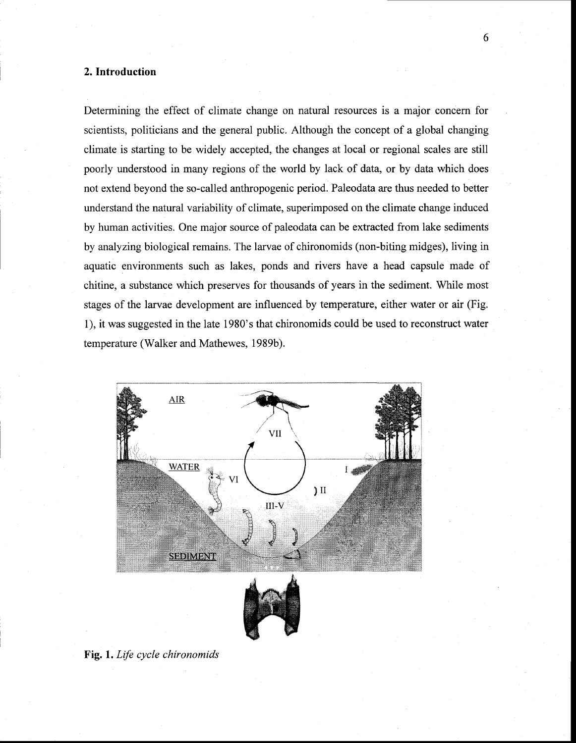### **2. Introduction**

Determining the effect of climate change on natural resources is a major concern for scientists, politicians and the general public. Although the concept of a global changing climate is starting to be widely accepted, the changes at local or regional scales are still poorly understood in many regions of the world by lack of data, or by data which does not extend beyond the so-called anthropogenic period. Paleodata are thus needed to better understand the natural variability of climate, superimposed on the climate change induced by human activities. One major source of paleodata can be extracted from lake sediments by analyzing biological remains. The larvae of chironomids (non-biting midges), living in aquatic environments such as lakes, ponds and rivers have a head capsule made of chitine, a substance which preserves for thousands of years in the sediment. While most stages of the larvae development are influenced by temperature, either water or air (Fig. 1), it was suggested in the late 1980's that chironomids could be used to reconstruct water temperature (Walker and Mathewes, 1989b).



**Fig. 1.** *Life cycle chironomids*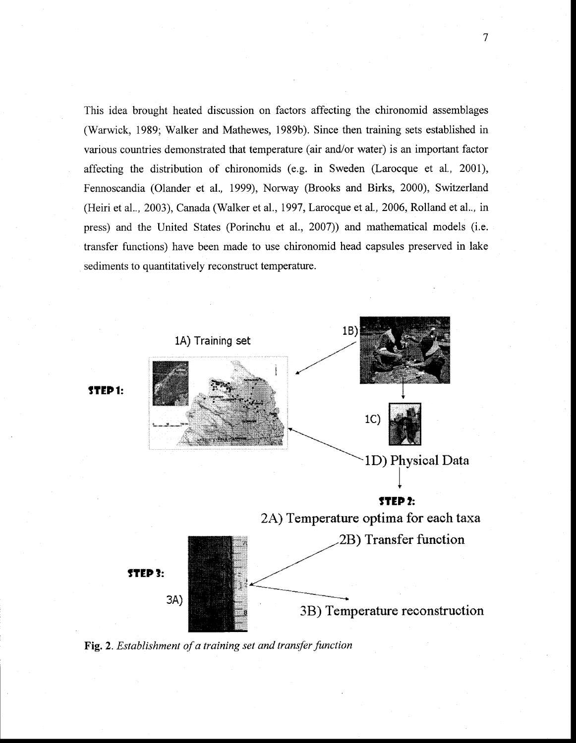This idea brought heated discussion on factors affecting the chironomid assemblages (Warwick, 1989; Walker and Mathewes, 1989b). Since then training sets established in various countries demonstrated that temperature (air and/or water) is an important factor affecting the distribution of chironomids (e.g. in Sweden (Larocque et al., 2001), Fennoscandia (Olander et aL, 1999), Norway (Brooks and Birks, 2000), Switzerland (Heiri et aL, 2003), Canada (Walker et al., 1997, Larocque et al., 2006, Rolland et aL, in press) and the United States (Porinchu et al., 2007)) and mathematical models (i.e. transfer functions) have been made to use chironomid head capsules preserved in lake sediments to quantitatively reconstruct temperature.



**Fig.** 2. *Establishment of a training set and transler function* 

7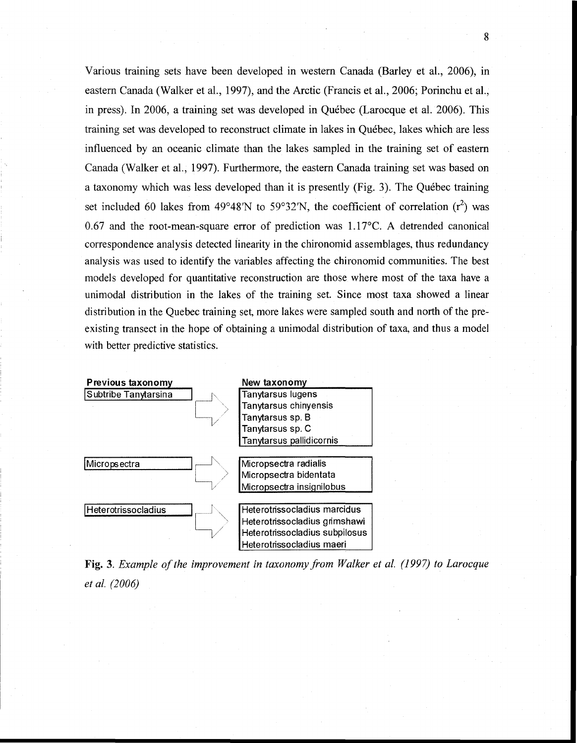Various training sets have been developed in western Canada (Barley et al., 2006), in eastern Canada (Walker et al., 1997), and the Arctic (Francis et al., 2006; Porinchu et al., in press). In 2006, a training set was developed in Québec (Larocque et al. 2006). This training set was developed to reconstruct climate in lakes in Québec, lakes which are less influenced by an oceanic climate than the lakes sampled in the training set of eastern Canada (Walker et al., 1997). Furthermore, the eastern Canada training set was based on a taxonomy which was less developed than it is presently (Fig. 3). The Québec training set included 60 lakes from 49°48'N to 59°32'N, the coefficient of correlation  $(r^2)$  was 0.67 and the root-mean-square error of prediction was 1.17°C. A detrended canonical correspondence analysis detected iinearity in the chironomid assemblages, thus redundancy analysis was used to identify the variables affecting the chironomid communities. The best models developed for quantitative reconstruction are those where most of the taxa have a unimodal distribution in the lakes of the training set. Since most taxa showed a linear distribution in the Quebec training set, more lakes were sampled south and north of the preexisting transect in the hope of obtaining a unimodal distribution of taxa, and thus a model with better predictive statistics.



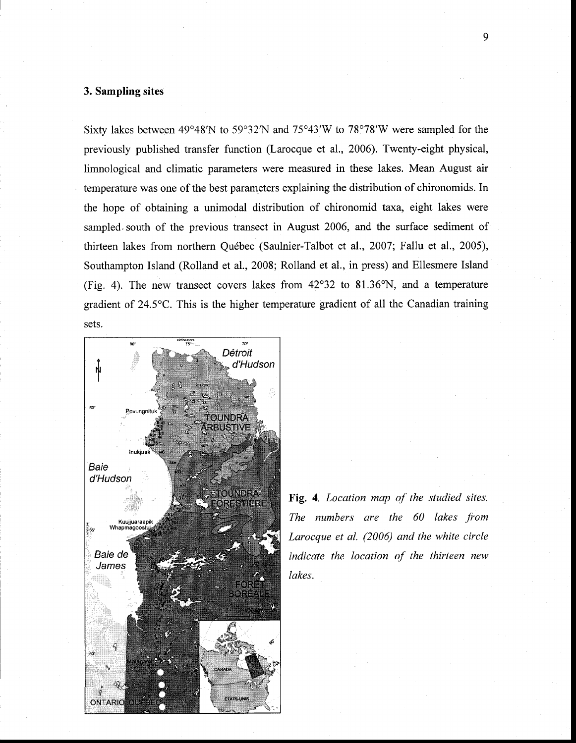#### **3. Sampling sites**

Sixty lakes between 49°48'N to 59°32'N and 75°43'W to 78°78'W were sampled for the previously published transfer function (Larocque et al., 2006). Twenty-eight physical, limnological and climatic parameters were measured in these lakes. Mean August air temperature was one of the best parameters explaining the distribution of chironomids. In the hope of obtaining a unimodal distribution of chironomid taxa, eight lakes were sampled. south of the previous transect in August 2006, and the surface sediment of thirteen lakes from northern Québec (Saulnier-Talbot et al., 2007; Fallu et al., 2005), Southampton Island (Rolland et al., 2008; Rolland et al., in press) and Ellesmere Island (Fig. 4). The new transect covers lakes from 42°32 to 81.36°N, and a temperature gradient of 24.5°C. This is the higher temperature gradient of all the Canadian training sets.



**Fig.** 4. *Location map of the studied sites. The numbers are the 60 lakes from Larocque et al. (2006) and the white circle indicate the location of the thirteen new lakes.*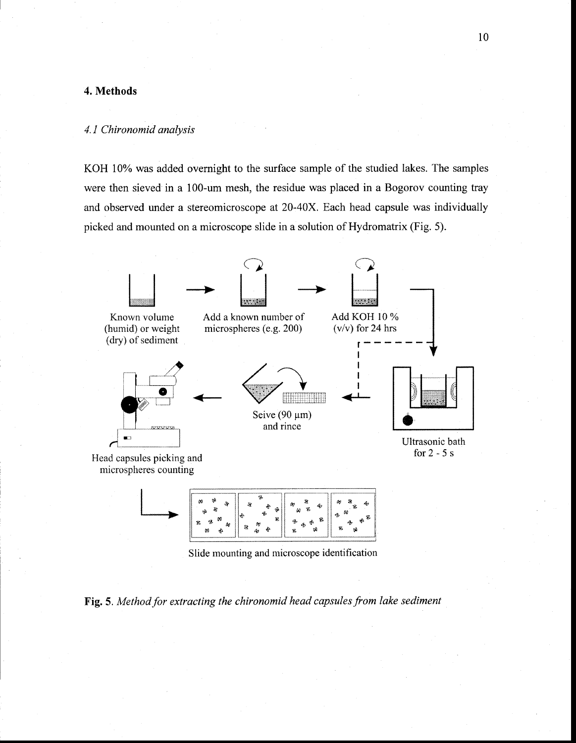## **4. Methods**

#### *4.1 Chironomid analysis*

KOH 10% was added overnight to the surface sample of the studied lakes. The samples were then sieved in a 100-um mesh, the residue was placed in a Bogorov counting tray and observed under a stereomicroscope at 20-40X. Each head capsule was individually picked and mounted on a microscope slide in a solution of Hydromatrix (Fig. 5).



Slide mounting and microscope identification

**Fig.** 5. *Method for extracting the chironomid head capsules from lake sediment*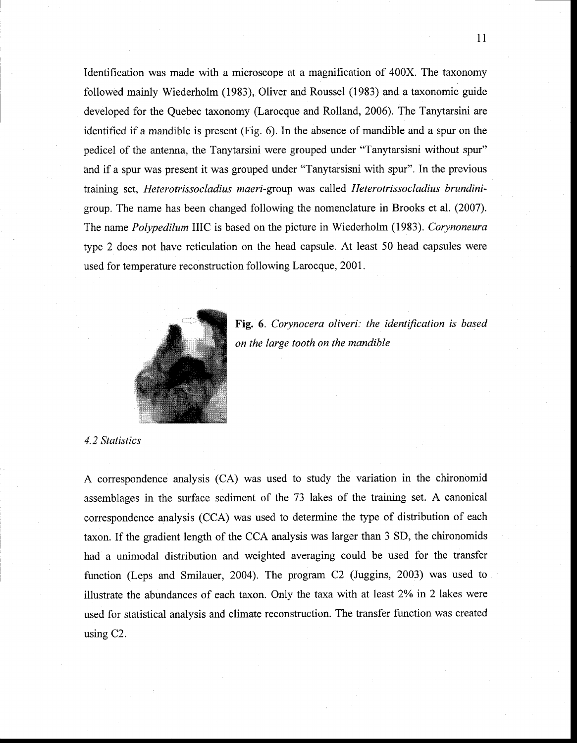Identification was made with a microscope at a magnification of 400X. The taxonomy followed mainly Wiederholm (1983), Oliver and Roussel (1983) and a taxonomie guide developed for the Quebec taxonomy (Larocque and Rolland, 2006). The Tanytarsini are identified if a mandible is present (Fig. 6). In the absence of mandible and a spur on the pedicel of the antenna, the Tanytarsini were grouped under "Tanytarsisni without spur" and if a spur was present it was grouped under "Tanytarsisni with spur". In the previous training set, *Heterotrissocladius maeri-group* was called *Heterotrissocladius brundini*group. The name has been changed following the nomenclature in Brooks et al. (2007). The name *Polypedilum* I1IC is based on the picture in Wiederholm (1983). *Corynoneura*  type 2 does not have reticulation on the head capsule. At least 50 head capsules were used for temperature reconstruction following Larocque, 2001.



**Fig.** 6. *Corynocera oliveri: the identification is based on the large tooth on the mandible* 

*4.2 Statistics* 

A correspondence analysis (CA) was used to study the variation in the chironomid assemblages in the surface sediment of the 73 lakes of the training set. A canonical correspondence analysis (CCA) was used to determine the type of distribution of each taxon. If the gradient length of the CCA analysis was larger than 3 SD, the chironomids had a unimodal distribution and weighted averaging could be used for the transfer function (Leps and Smilauer, 2004). The program  $C2$  (Juggins, 2003) was used to illustrate the abundances of each taxon. Only the taxa with at least 2% in 2 lakes were used for statistical analysis and climate reconstruction. The transfer function was created using C2.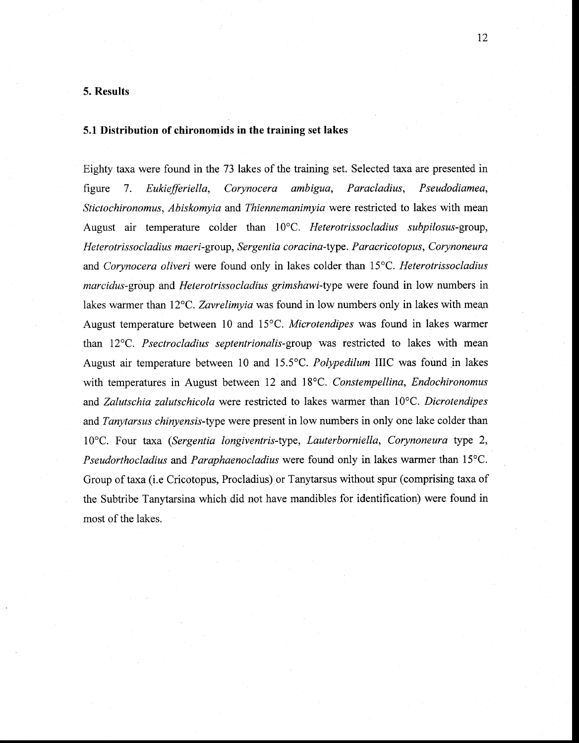#### **5. Results**

#### **5.1 Distribution of chironomids in the training** set **lakes**

Eighty taxa were found in the 73 lakes of the training set. Selected taxa are presented in figure 7. *Eukiefferiella, Corynocera ambigua, Paracladius, Pseudodiamea, Stictochironomus, Abiskomyia* and *Thiennemanimyiawere* restricted to lakes with mean August air temperature colder than 10°C. *Heterotrissocladius subpilosus-group, Heterotrissocladius maeri-group, Sergentia coracina-type. Paracricotopus, Corynoneura*  and *Corynocera oliveri* were found only in lakes colder than 15°C. *Heterotrissocladius marcidus-group* and *Heterotrissocladius grimshawi-type* were found in low numbers in lakes warmer than 12°C. *Zavrelimyia* was found in low numbers only in lakes with mean August temperature between 10 and 15°C. *Microtendipes* was found in lakes warmer than 12°C. *Psectrocladius septentrionalis-group* was restricted to lakes with mean August air temperature between 10 and 15.5°C. *Polypedilum* IUC was found in lakes with temperatures in August between 12 and 18°C. *Constempellina, Endochironomus*  and *Zalutschia zalutschicola* were restricted to lakes warmer than 10°C. *Dicrotendipes*  and *Tanytarsus chinyensis-type* were present in low numbers in only one lake colder than 10°C. Four taxa *(Sergentia longiventris-type, Lauterborniella, Corynoneura* type 2, *Pseudorthocladius* and *Paraphaenocladius* were found only in lakes warmer than 15°C. Group of taxa (i.e Cricotopus, Procladius) or Tanytarsus without spur (comprising taxa of the Subtribe Tanytarsina which did not have mandibles for identification) were found in most of the lakes.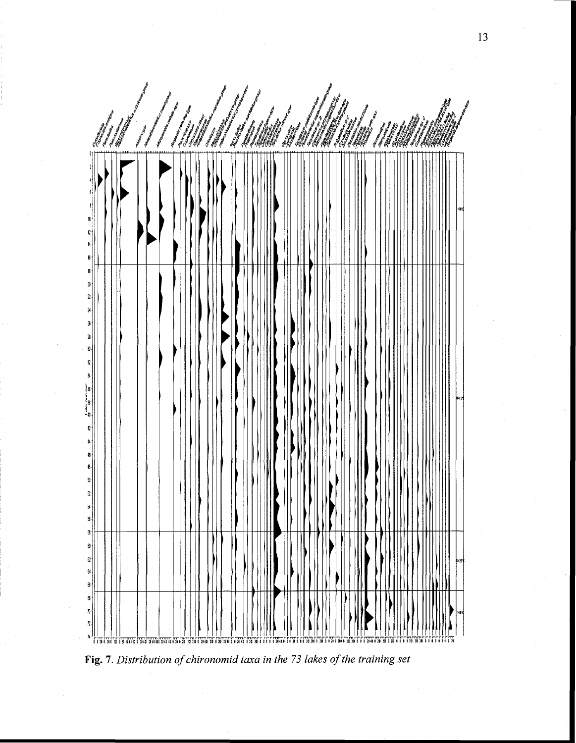

Fig. 7. Distribution of chironomid taxa in the 73 lakes of the training set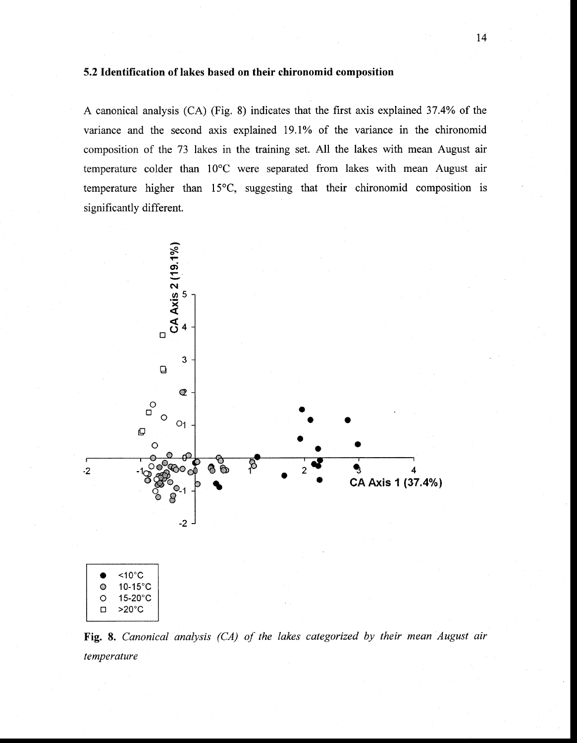#### **5.2 Identification of lakes based on their chironomid composition**

A canonical analysis (CA) (Fig. 8) indicates that the first axis explained 37.4% of the variance and the second axis explained 19.1% of the variance in the chironomid composition of the 73 lakes in the training set. AH the lakes with mean August air temperature colder than 10°C were separated from lakes with mean August air temperature higher than 15°C, suggesting that their chironomid composition is significantly different.



**Fig.** 8. *Canonical analysis (CA) of the lakes categorized by their mean August air temperature*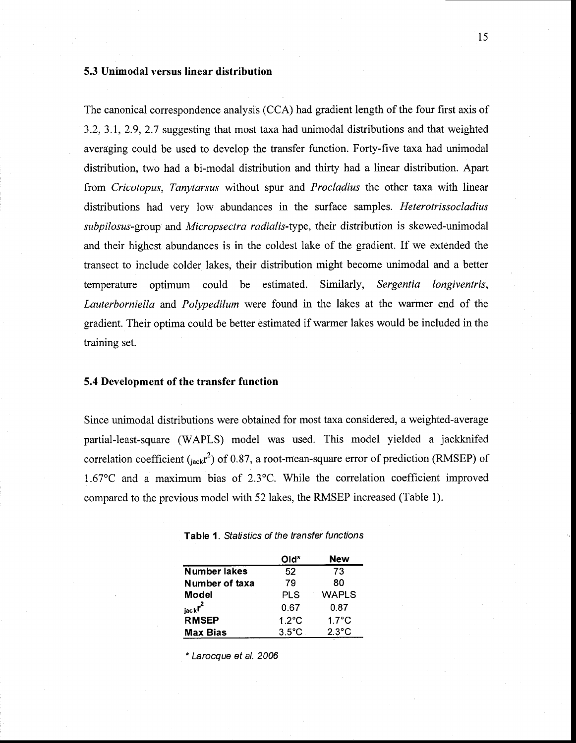## 5.3 Unimodal versus linear distribution

The canonical correspondence analysis (CCA) had gradient length of the four first axis of 3.2, 3.1, 2.9, 2.7 suggesting that most taxa had unimodal distributions and that weighted averaging could be used to develop the transfer function. Forty-five taxa had unimodal distribution, two had a bi-modal distribution and thirty had a linear distribution. Apart from *Cricotopus, Tanytarsus* without spur and *Procladius* the other taxa with linear distributions had very low abundances in the surface samples. *Heterotrissocladius subpilosus-group* and *Micropsectra radialis-type,* their distribution is skewed-unimodal and their highest abundances is in the coldest lake of the gradient. If we extended the transect to inc1ude colder lakes, their distribution might become unimodal and a better temperature optimum could be estimated. Similarly, *Sergentia longiventris, Lauterborniella* and *Polypedilum* were found in the lakes at the warmer end of the gradient. Their optima could be better estimated if warmer lakes would be included in the training set.

#### 5.4 Development of the transfer function

Since unimodal distributions were obtained for most taxa considered, a weighted-average partial-least-square (WAPLS) model was used. This model yielded a jackknifed correlation coefficient  $\binom{a}{\text{inck}}r^2$  of 0.87, a root-mean-square error of prediction (RMSEP) of 1.67°C and a maximum bias of 2.3°C. While the correlation coefficient improved compared to the previous model with 52 lakes, the RMSEP increased (Table 1).

|                     | Old*            | New             |
|---------------------|-----------------|-----------------|
| <b>Number lakes</b> | 52              | 73              |
| Number of taxa      | 79              | 80              |
| Model               | PLS             | <b>WAPLS</b>    |
| $_{\rm jack}r^2$    | 0.67            | 0.87            |
| <b>RMSEP</b>        | $1.2^{\circ}$ C | $1.7^{\circ}$ C |
| <b>Max Bias</b>     | $3.5^{\circ}$ C | $2.3^{\circ}$ C |

| <b>Table 1.</b> Statistics of the transfer functions |  |  |
|------------------------------------------------------|--|--|
|------------------------------------------------------|--|--|

\* Larocque et al. 2006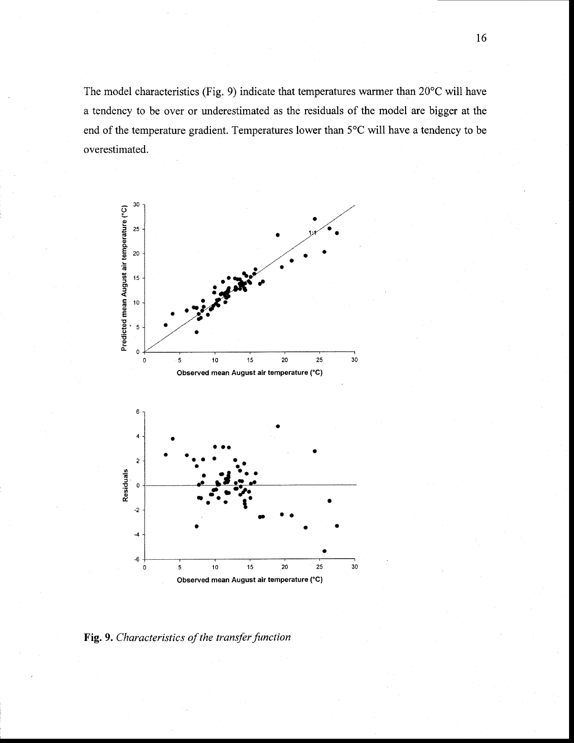The model characteristics (Fig. 9) indicate that temperatures warmer than 20°C will have a tendency to be over or underestimated as the residuals of the model are bigger at the end of the temperature gradient. Temperatures lower than 5°C will have a tendency to be overestimated.



Fig. 9. Characteristics of the transfer function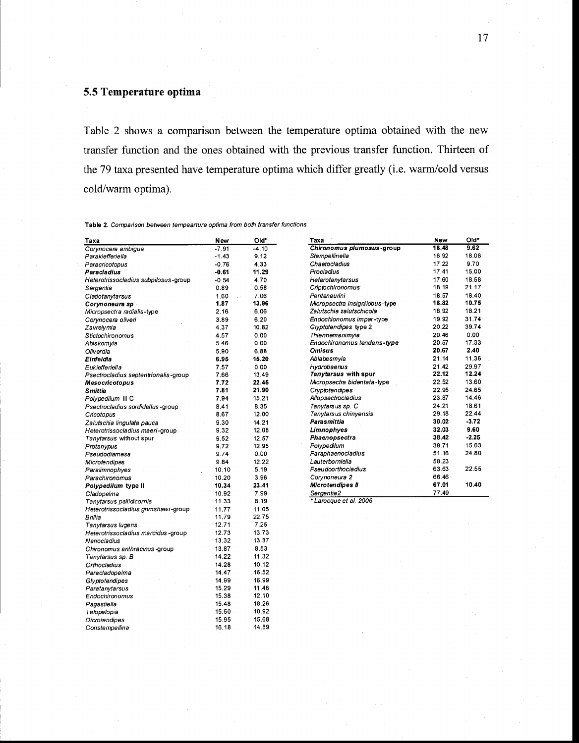# 5.5 Temperature optima

Pagastiella

Telopelopia **Dicrotendipes** 

Constempellina

Table 2 shows a comparison between the temperature optima obtained with the new transfer function and the ones obtained with the previous transfer function. Thirteen of the 79 taxa presented have temperature optima which differ greatly (i.e. warm/cold versus cold/warm optima).

Table 2. Comparison between tempearture optima from both transfer functions

| Taxa                                 | New            | Old*    | Taxa                           | New   | Old*    |
|--------------------------------------|----------------|---------|--------------------------------|-------|---------|
| Corvnocera ambigua                   | $-7.91$        | $-4.10$ | Chironomus plumosus-group      | 16.48 | 9.62    |
| Parakiefferiella                     | $-1.43$        | 9.12    | Stempellinella                 | 16.92 | 18.06   |
| Paracricotopus                       | $-0.76$        | 4.33    | Chaetocladius                  | 17.22 | 9.70    |
| Paracladius                          | $-0.61$        | 11.29   | Procladius                     | 17.41 | 15.00   |
| Heterotrissociadius subpilosus-group | $-0.54$        | 4.70    | Heterotanytarsus               | 17.60 | 18.58   |
| Sergentia                            | 0.89           | 0.58    | Criptochironomus <sup>®</sup>  | 18.19 | 21.17   |
| Cladotanytarsus                      | 1.60           | 7.06    | Pentaneurini                   | 18.57 | 18.40   |
| Corynoneura sp                       | 1.87           | 13.96   | Micropsectra insignilobus-type | 18.82 | 10.75   |
| Micropsectra radialis-type           | 2.16           | 6.06    | Zalutschia zalutschicola       | 18.92 | 18.21   |
| Corynocera oliveri                   | 3.89           | 6.20    | Endochionomus impar-type       | 19.92 | 31.74   |
| Zavrelymia                           | 4.37           | 10.82   | Glyptotendipes type 2          | 20.22 | 39.74   |
| Stictochironomus                     | 4.57           | 0.00    | Thiennemanimyia                | 20.46 | 0.00    |
| Abiskomyia                           | 5.46           | 0.00    | Endochironomus tendens-type    | 20.57 | 17.33   |
| Oliverdia                            | 5.90           | 6.88    | <b>Omisus</b>                  | 20.67 | 2.40    |
| Einfeldia                            | 6.95           | 15.20   | Ablabesmyia                    | 21.14 | 11.36   |
| Eukiefferiella                       | 7.57           | 0.00    | Hydrobaenus                    | 21.42 | 29.97   |
| Psectrocladius septentrionalis-group | 7.66           | 13.49   | Tanytarsus with spur           | 22.12 | 12.24   |
| <b>Mesocricotopus</b>                | 7.72           | 22.45   | Micropsectra bidentata-type    | 22.52 | 13.60   |
| <b>Smittia</b>                       | 7.81           | 21.90   | Cryptotendipes                 | 22.95 | 24.65   |
| Polypedilum III C                    | 7.94           | 15.21   | Allopsectrocladius             | 23.87 | 14.46   |
| Psectrocladius sordidellus-group     | 8.41           | 8.35    | Tanytarsus sp. C               | 24.21 | 18.61   |
| Cricotopus                           | 8.67           | 12.00   | Tanytarsus chinyensis          | 29.18 | 22.44   |
| Zalutschia lingulata pauca           | 9.30           | 14.21   | Parasmittia                    | 30.02 | $-3.72$ |
| Heterotrissociadius maeri-group      | 9.32           | 12.08   | Limnophyes                     | 32.03 | 9.60    |
| Tanytarsus without spur              | 9.52           | 12.57   | Phaenopsectra                  | 38.42 | $-2.25$ |
| Protanypus                           | 9.72           | 12.95   | Polypedilum                    | 38.71 | 15.03   |
| Pseudodiamesa                        | 9.74           | 0.00    | Paraphaenocladius              | 51.16 | 24.80   |
| Microtendipes                        | 9.84           | 12.22   | Lauterborniella                | 58.23 |         |
| Paralimnophyes                       | 10.10          | 5.19    | Pseudoorthocladius             | 63.63 | 22.55   |
| Parachironomus                       | 10.20          | 3.96    | Corynoneura 2                  | 66.46 |         |
| Polypedilum type II                  | 10.34          | 23.41   | Microtendipes II               | 67.01 | 10.40   |
| Cladopeima                           | 10.92          | 7.99    | Sergentia2                     | 77.49 |         |
| Tanytarsus pallidicornis             | 11.33          | 8.19    | *Larocque et al. 2006          |       |         |
| Heterotrissocladius grimshawi-group  | 11.77          | 11,05   |                                |       |         |
| Brillia                              | 11.79          | 22.75   |                                |       |         |
| Tanytarsus lugens                    | 12.71          | 7.25    |                                |       |         |
| Heterotrissocladius marcidus -group  | 12.73          | 13.73   |                                |       |         |
| Nanocladius                          | 13.32          | 13.37   |                                |       |         |
| Chironomus anthracinus-group         | 13.87          | 8.53    |                                |       |         |
|                                      | 14.22          | 11.32   |                                |       |         |
| Tanytarsus sp. B                     | 14.28          | 10.12   |                                |       |         |
| Orthocladius                         | 14.47          | 16.52   |                                |       |         |
| Paracladopelma                       |                | 16.99   |                                |       |         |
| Glyptotendipes                       | 14.99          |         |                                |       |         |
| Paratanytarsus                       | 15.29<br>15.38 | 11.46   |                                |       |         |
| Endochironomus                       |                | 12.10   |                                |       |         |
| Pagastiella                          | 15.48          | 18.26   |                                |       |         |

10.92

15.68

14.89

15.50

15.95

16,18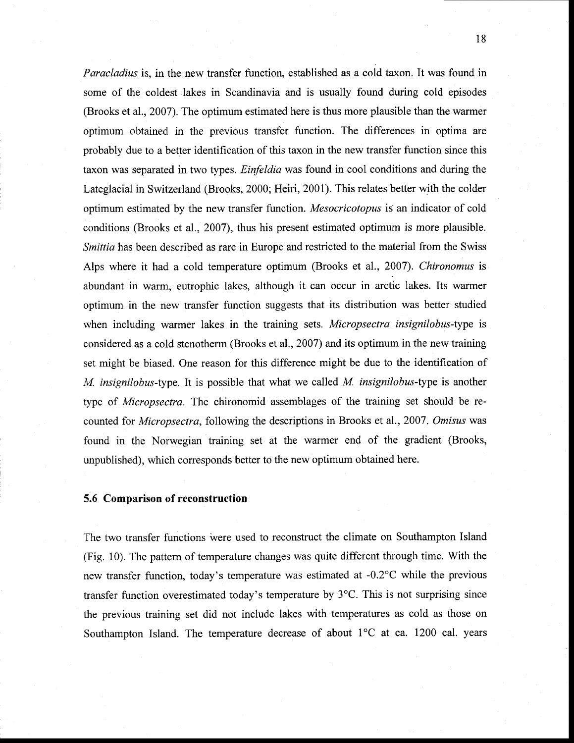*Paracladius* is, in the new transfer function, established as a cold taxon. It was found in sorne of the coldest lakes in Scandinavia and is usually found during cold episodes (Brooks et al., 2007). The optimum estimated here is thus more plausible than the warmer optimum obtained in the previous transfer function. The differences in optima are probably due to a better identification of this taxon in the new transfer function since this taxon was separated in two types. *Einfeldia* was found in cool conditions and during the Lateglacial in Switzerland (Brooks, 2000; Heiri, 2001). This relates better with the colder optimum estimated by the new transfer function. *Mesocricotopus* is an indicator of cold conditions (Brooks et al., 2007), thus his present estimated optimum is more plausible. *Smittia* has been described as rare in Europe and restricted to the material from the Swiss Alps where it had a cold temperature optimum (Brooks et al., 2007). *Chironomus* is abundant in warm, eutrophic lakes, although it can occur in arctic lakes. Its warmer optimum in the new transfer function suggests that its distribution was better studied when including warmer lakes in the training sets. *Micropsectra insignilobus-type* is considered as a cold stenotherm (Brooks et al., 2007) and its optimum in the new training set might be biased. One reason for this difference might be due to the identification of *M. insignilobus-type.* It is possible that what we called *M. insignilobus-type* is another type of *Micropsectra.* The chironomid assemblages of the training set should be recounted for *Micropsectra,* following the descriptions in Brooks et al., 2007. *Omisus* was found in the Norwegian training set at the warmer end of the gradient (Brooks, unpublished), which corresponds better to the new optimum obtained here.

#### **5.6 Comparison of reconstruction**

The two transfer functions were used to reconstruct the climate on Southampton Island (Fig. 10). The pattern of temperature changes was quite different through time. With the new transfer function, today's temperature was estimated at  $-0.2$ °C while the previous transfer function overestimated today's temperature by  $3^{\circ}$ C. This is not surprising since the previous training set did not include lakes with temperatures as cold as those on Southampton Island. The temperature decrease of about 1°C at ca. 1200 cal. years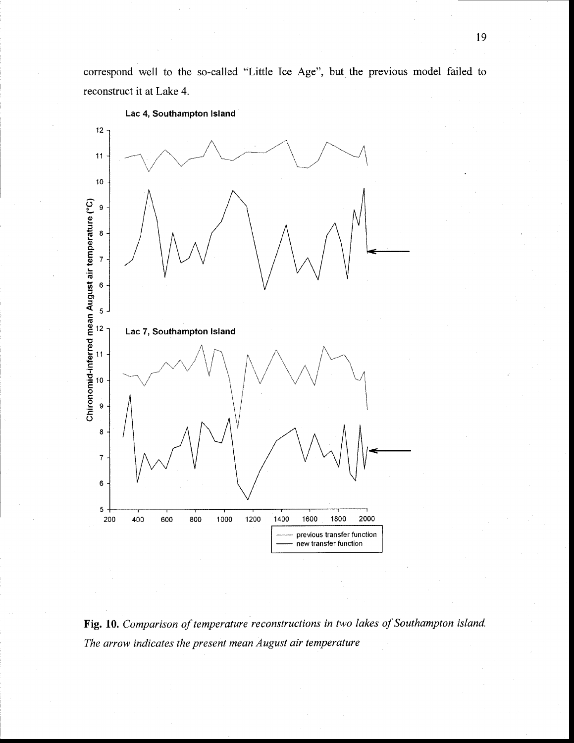correspond well to the so-called "Little Ice Age", but the previous model failed to reconstruct it at Lake 4.



Lac 4, Southampton Island

Fig. 10. Comparison of temperature reconstructions in two lakes of Southampton island. The arrow indicates the present mean August air temperature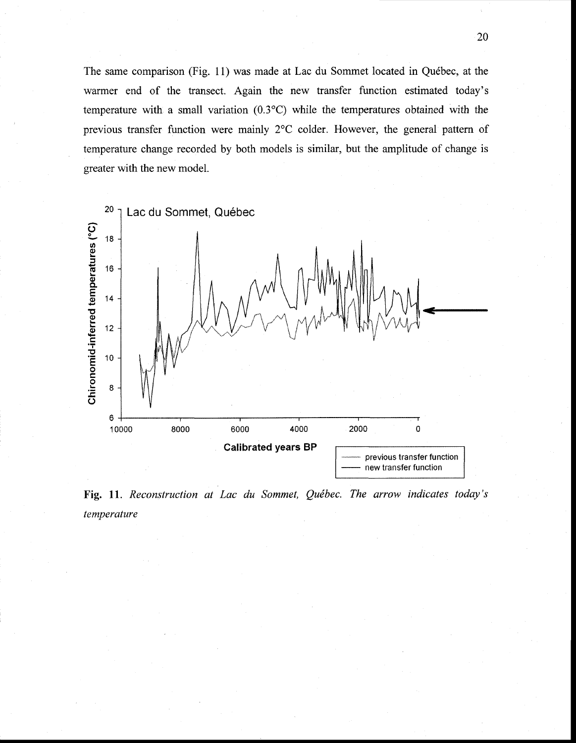The same comparison (Fig. 11) was made at Lac du Sommet located in Québec, at the warmer end of the transect. Again the new transfer function estimated today's temperature with a small variation  $(0.3^{\circ}C)$  while the temperatures obtained with the previous transfer function were mainly 2°C colder. However, the general pattern of temperature change recorded by both models is similar, but the amplitude of change is greater with the new model.



Fig. 11. Reconstruction at Lac du Sommet, Québec. The arrow indicates today's temperature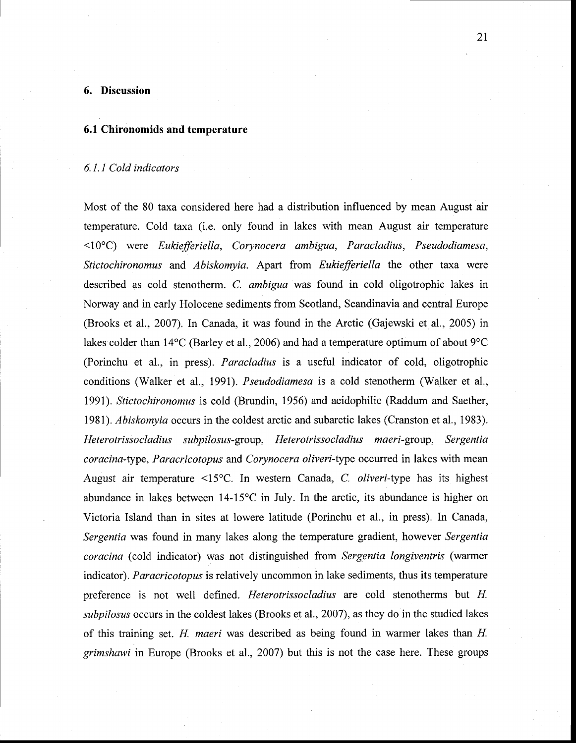## **6. Discussion**

#### **6.1 Chironomids and temperature**

#### *6.1.1 Cold indicators*

Most of the 80 taxa considered here had a distribution influenced by mean August air temperature. Cold taxa (i.e. only found in lakes with mean August air temperature <10°C) were *Eukiefferiella, Corynocera ambigua, Paracladius, Pseudodiamesa, Stictochironomus* and *Abiskomyia.* Apart from *Eukiefferiella* the other taxa were described as cold stenotherm. C. *ambigua* was found in cold oligotrophic lakes in Norway and in early Holocene sediments from Scotland, Scandinavia and central Europe (Brooks et al., 2007). In Canada, it was found in the Arctic (Gajewski et al., 2005) in lakes colder than 14°C (Barley et al., 2006) and had a temperature optimum of about 9°C (Porinchu et al., in press). *Paracladius* is a useful indicator of cold, oligotrophic conditions (Walker et al., 1991). *Pseudodiamesa* is a cold stenotherm (Walker et al., 1991). *Stictochironomus* is cold (Brundin, 1956) and acidophilic (Raddum and Saether, 1981). *Abiskomyia* occurs in the coldest arctic and subarctic lakes (Cranston et al., 1983). *Heterotrissocladius subpilosus-group, Heterotrissocladius maeri-group, Sergentia coracina-type, Paracricotopus* and *Corynocera oliveri-type* occurred in lakes with mean August air temperature <15°C. In western Canada, C. *oliveri-type* has its highest abundance in lakes between 14-15°C in July. In the arctic, its abundance is higher on Victoria Island than in sites at lowere latitude (Porinchu et al., in press). In Canada, *Sergentia* was found in many lakes along the temperature gradient, however *Sergentia coracina* (cold indicator) was not distinguished from *Sergentia longiventris* (warmer indicator). *Paracricotopus* is relatively uncommon in lake sediments, thus its temperature preference is not weIl defined. *Heterotrissocladius* are cold stenotherms but *H subpilosus* occurs in the coldest lakes (Brooks et al., 2007), as they do in the studied lakes of this training set. *H maeri* was described as being found in warmer lakes than *H grimshawi* in Europe (Brooks et al., 2007) but this is not the case here. These groups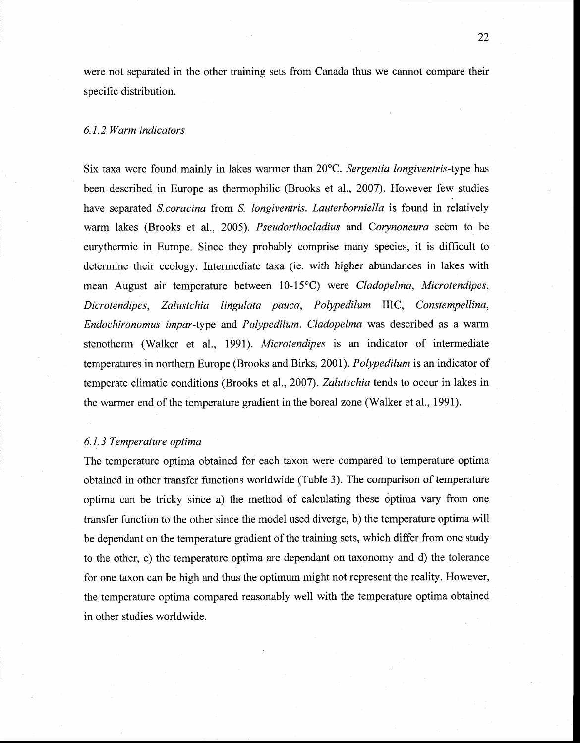were not separated in the other training sets from Canada thus we cannot compare their specifie distribution.

#### *6.1.2 Warm indicators*

Six taxa were found mainly in lakes warmer than 20°C. *Sergentia longiventris-type* has been described in Europe as thermophilic (Brooks et al., 2007). However few studies have separated *S. coracina* from *S. longiventris. Lauterborniella* is found in relatively warm lakes (Brooks et al., 2005). *Pseudorthocladius* and *Corynoneura* seem to be eurythermic in Europe. Since they probably comprise many species, it is difficult to determine their ecology. Intermediate taxa (ie. with higher abundances in lakes with mean August air temperature between 10-15°C) were *Cladopelma, Microtendipes, Dicrotendipes, Zalustchia lingulata pauca, Polypedilum* IlIC, *Constempellina, Endochironomus impar-type* and *Polypedilum. Cladopelma* was described as a warm stenotherm (Walker et al., 1991). *Microtendipes* is an indicator of intermediate temperatures in northern Europe (Brooks and Birks, 2001). *Polypedilum* is an indicator of temperate climatic conditions (Brooks et al., 2007). *Zalutschia* tends to occur in lakes in the warmer end of the temperature gradient in the boreal zone (Walker et al., 1991).

#### *6.1.3 Temperature optima*

The temperature optima obtained for each taxon were compared to temperature optima obtained in other transfer functions worldwide (Table 3). The comparison of temperature optima can be tricky since a) the method of calculating these optima vary from one transfer function to the other since the model used diverge, b) the temperature optima will be dependant on the temperature gradient of the training sets, which differ from one study to the other, c) the temperature optima are dependant on taxonomy and d) the tolerance for one taxon can be high and thus the optimum might not represent the reality. However, the temperature optima compared reasonably well with the temperature optima obtained in other studies worldwide.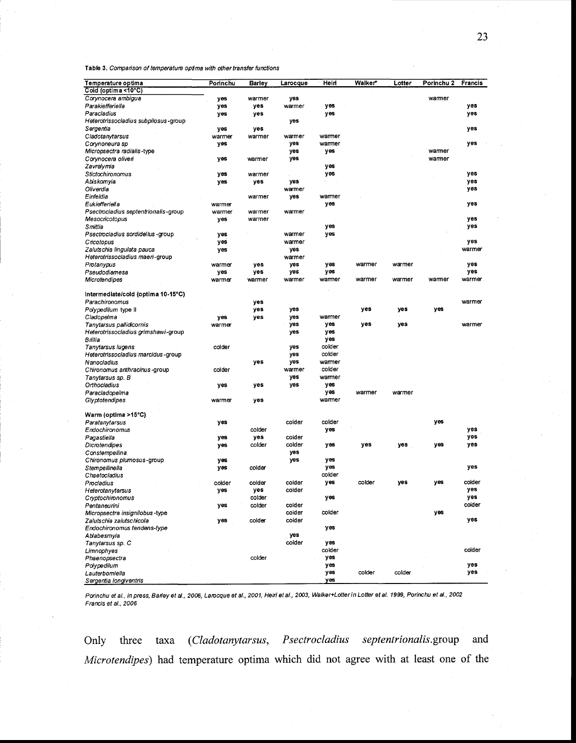Table 3. Comparison of temperature optima with other transfer functions

| Temperature optima                   | Porinchu | <b>Barley</b> | Larocque | Heirl  | Walker* | Lotter | Porinchu 2 | <b>Francis</b> |
|--------------------------------------|----------|---------------|----------|--------|---------|--------|------------|----------------|
| Cold (optima <10°C)                  |          |               |          |        |         |        |            |                |
| Corynocera ambigua                   | yes      | warmer        | yes      |        |         |        | wamer      |                |
| Parakiefferiella                     | yes      | yes           | warmer   | yes    |         |        |            | yes            |
|                                      |          |               |          |        |         |        |            |                |
| Paracladius                          | yes      | yes           |          | yes    |         |        |            | yes            |
| Heterotrissocladius subpilosus-group |          |               | yes      |        |         |        |            |                |
| Sergentia                            | yes      | yes           |          |        |         |        |            | yes            |
| Cladotanytarsus                      | warmer   | warmer        | warmer   | warmer |         |        |            |                |
| Corynoneura sp                       | yes      |               | yes      | warmer |         |        |            | yes            |
| Micropsectra radialis-type           |          |               | yes      | yes    |         |        | warmer     |                |
| Corynocera oliveri                   | yes      | warmer        | yes      |        |         |        | warmer     |                |
| Zavrelymia                           |          |               |          | yes    |         |        |            |                |
| Stictochironomus                     | yes      | warmer        |          | yes    |         |        |            | yes            |
| Abiskomyia                           | yes      | yes           | yes      |        |         |        |            | yes            |
| Oliverdia                            |          |               |          |        |         |        |            |                |
|                                      |          |               | warmer   |        |         |        |            | yes            |
| Einfeldia                            |          | warmer        | yes      | warmer |         |        |            |                |
| Eukiefferiella                       | warmer   |               |          | yes    |         |        |            | yes            |
| Psectrocladius septentrionalis-group | warmer   | warmer        | warmer   |        |         |        |            |                |
| Mesocricotopus                       | yes      | warmer        |          |        |         |        |            | yes            |
| Smittia                              |          |               |          | yes    |         |        |            | yes            |
| Psectrocladius sordidelius -group    | yes      |               | warmer   | yes    |         |        |            |                |
| Cricotopus                           | yes      |               | warmer   |        |         |        |            | yes            |
|                                      |          |               |          |        |         |        |            | warmer         |
| Zalutschia lingulata pauca           | yes      |               | yes      |        |         |        |            |                |
| Heterotrissocladius maeri-group      |          |               | warmer   |        |         |        |            |                |
| Protanypus                           | warmer   | yes           | yes      | yes    | warmer  | warmer |            | yes            |
| Pseudodiamesa                        | yes      | yes           | yes      | yes    |         |        |            | yes            |
| Microtendipes                        | warmer   | warmer        | warmer   | warmer | warmer  | warmer | warmer     | warmer         |
|                                      |          |               |          |        |         |        |            |                |
| Intermediate/cold (optima 10-15°C)   |          |               |          |        |         |        |            |                |
| Parachironomus                       |          | yes           |          |        |         |        |            | warmer         |
| Polypedilum type II                  |          | yes           | yes      |        | yes     | yes    | yes        |                |
|                                      |          |               |          |        |         |        |            |                |
| Cladopelma                           | yes      | yes           | yes      | warmer |         |        |            |                |
| Tanytarsus pallidicornis             | warmer   |               | yes      | yes    | yes     | yes    |            | warmer         |
| Heterotrissocladius grimshawi-group  |          |               | yes      | yes    |         |        |            |                |
| Brillia                              |          |               |          | yes    |         |        |            |                |
| Tanytarsus lugens                    | colder   |               | yes      | colder |         |        |            |                |
| Heterotrissocladius marcidus-group   |          |               | yes      | colder |         |        |            |                |
| Nanocladius                          |          | yes           | yes      | warmer |         |        |            |                |
| Chironomus anthracinus-group         | colder   |               | warmer   | colder |         |        |            |                |
|                                      |          |               |          |        |         |        |            |                |
| Tanytarsus sp. B                     |          |               | yes      | warmer |         |        |            |                |
| Orthocladius                         | yes      | yes           | yes      | yes    |         |        |            |                |
| Paracladopelma                       |          |               |          | yes    | warmer  | warmer |            |                |
| Glyptotendipes                       | warmer   | yes           |          | warmer |         |        |            |                |
|                                      |          |               |          |        |         |        |            |                |
| Warm (optima >15°C)                  |          |               |          |        |         |        |            |                |
| Paratanytarsus                       | yes      |               | colder   | colder |         |        | yes        |                |
| Endochironomus                       |          | colder        |          | yes    |         |        |            | yes            |
|                                      |          |               | colder   |        |         |        |            | yes            |
| Pagastiella                          | yes      | yes           |          |        |         |        |            |                |
| Dicrotendipes                        | yes      | colder        | colder   | yes    | yes     | yes    | yes        | yes            |
| Constempellina.                      |          |               | yes      |        |         |        |            |                |
| Chironomus plumosus-group            | yes      |               | yes      | yes    |         |        |            |                |
| Stempellinella                       | yes      | colder        |          | yes    |         |        |            | yes            |
| Chaetocladius                        |          |               |          | colder |         |        |            |                |
| Procladius                           | colder   | colder        | colder   | yes    | colder  | yes    | yes        | colder         |
| Heterotanytarsus                     | yes      | yes           | colder   |        |         |        |            | yes            |
|                                      |          | colder        |          |        |         |        |            | ves            |
| Cryptochironomus                     |          |               |          | yes    |         |        |            |                |
| Pentaneurini                         | yes      | coider        | colder   |        |         |        |            | coider         |
| Micropsectra insignilobus-type       |          |               | colder   | colder |         |        | yes        |                |
| Zalutschia zalutschicola             | yes      | colder        | colder   |        |         |        |            | yes            |
| Endochironomus tendens-type          |          |               |          | yes    |         |        |            |                |
| Ablabesmyia                          |          |               | yes      |        |         |        |            |                |
| Tanytarsus sp. C                     |          |               | colder   | yes    |         |        |            |                |
| Limnophyes                           |          |               |          | coider |         |        |            | colder         |
|                                      |          |               |          |        |         |        |            |                |
| Phaenopsectra                        |          | colder        |          | yes    |         |        |            |                |
| Polypedilum                          |          |               |          | yes    |         |        |            | yes            |
| Lauterbomiella                       |          |               |          | yes    | colder  | colder |            | yes            |
| Sergentia longiventris               |          |               |          | yes    |         |        |            |                |

Porinchu et al., in press, Barley et al., 2006, Larocque et al., 2001, Heiri et al., 2003, Walker+Lotter in Lotter et al. 1999, Porinchu et al., 2002 Francis et al., 2006

Only three taxa *(Cladotanytarsus, Psectrocladius septentrionalis.group and Microtendipes)* had temperature optima which did not agree with at least one of the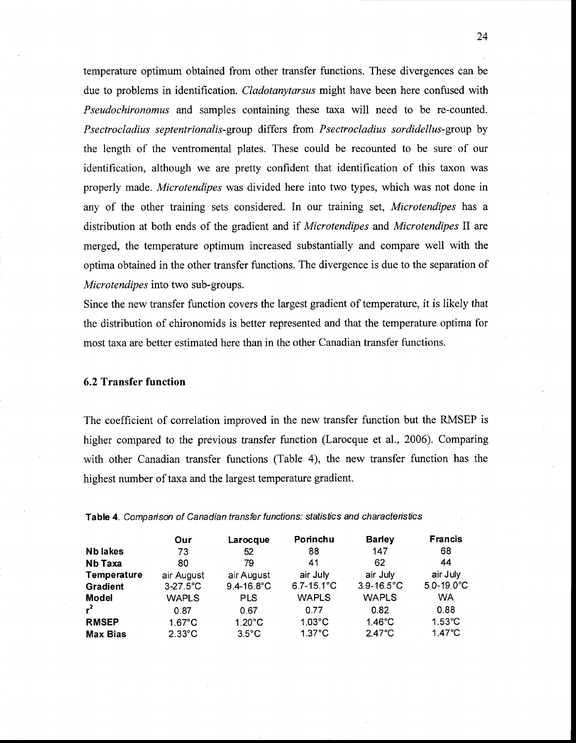temperature optimum obtained from other transfer functions. These divergences can be due to problems in identification. *Cladotanytarsus* might have been here confused with *Pseudochironomus* and samples containing these taxa will need to be re-counted. *Psectrocladius septentrionalis-group* differs from *Psectrocladius sordidellus-group* by the length of the ventromental plates. These could be recounted to be sure of our identification, although we are pretty confident that identification of this taxon was properly made. *Microtendipes* was divided here into two types, which was not done in any of the other training sets considered. In our training set, *Microtendipes* has a distribution at both ends of the gradient and if *Microtendipes* and *Microtendipes* II are merged, the temperature optimum increased substantially and compare weIl with the optima obtained in the other transfer functions. The divergence is due to the separation of *Microtendipes* into two sub-groups.

Since the new transfer function covers the largest gradient of temperature, it is likely that the distribution of chironomids is better represented and that the temperature, optima for most taxa are better estimated here than in the other Canadian transfer functions.

#### 6.2 Transfer function

The coefficient of correlation improved in the new transfer function but the RMSEP is higher compared to the previous transfer function (Larocque et al., 2006). Comparing with other Canadian transfer functions (Table 4), the new transfer function has the highest number of taxa and the largest temperature gradient.

|                    | Our               | Larocque         | Porinchu              | <b>Barley</b>         | <b>Francis</b>        |
|--------------------|-------------------|------------------|-----------------------|-----------------------|-----------------------|
| Nb lakes           | 73                | 52               | 88                    | 147                   | 68                    |
| Nb Taxa            | 80                | 79               | 41                    | 62                    | 44                    |
| <b>Temperature</b> | air August        | air August       | air July              | air July              | air July              |
| <b>Gradient</b>    | $3-27.5^{\circ}C$ | $9.4 - 16.8$ °C  | $6.7 - 15.1^{\circ}C$ | $3.9 - 16.5^{\circ}C$ | $5.0 - 19.0^{\circ}C$ |
| Model              | <b>WAPLS</b>      | <b>PLS</b>       | <b>WAPLS</b>          | <b>WAPLS</b>          | <b>WA</b>             |
| $r^2$              | 0.87              | 0.67             | 0.77                  | 0.82                  | 0.88                  |
| <b>RMSEP</b>       | $1.67^{\circ}$ C  | $1.20^{\circ}$ C | $1.03^{\circ}$ C      | $1.46^{\circ}$ C      | $1.53^{\circ}$ C      |
| <b>Max Bias</b>    | $2.33^{\circ}$ C  | $3.5^{\circ}$ C  | $1.37^{\circ}$ C      | $2.47^{\circ}$ C      | $1.47^{\circ}$ C      |

Table 4. Comparison of Canadian transfer functions: statistics and characteristics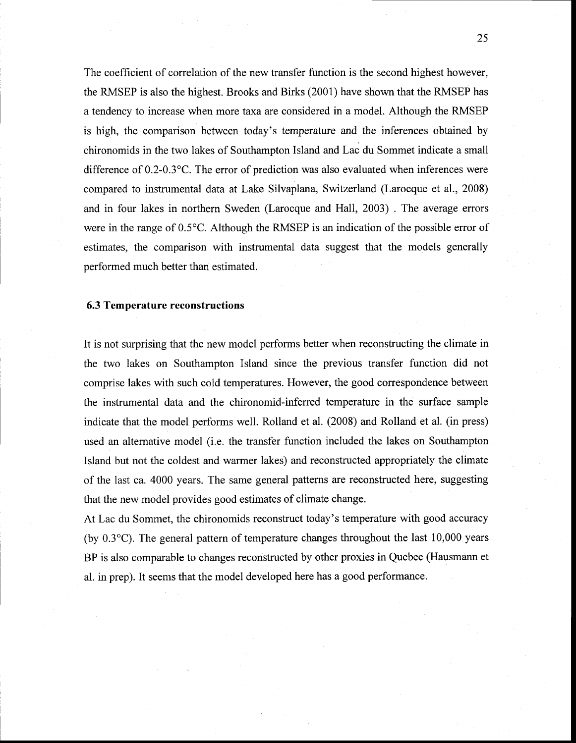The coefficient of correlation of the new transfer function is the second highest however, the RMSEP is also the highest. Brooks and Birks (2001) have shown that the RMSEP has a tendency to increase when more taxa are considered in a model. Although the RMSEP is high, the comparison between today's temperature and the inferences obtained by chironomids in the two lakes of Southampton Island and Lac du Sommet indicate a small difference of 0.2-0.3°C. The error of prediction was also evaluated when inferences were compared to instrumental data at Lake Silvaplana, Switzerland (Larocque et al., 2008) and in four lakes in northern Sweden (Larocque and Hall, 2003) . The average errors were in the range of 0.5°C. Although the RMSEP is an indication of the possible error of estimates, the comparison with instrumental data suggest that the models generally performed much better than estimated.

#### 6.3 Temperature reconstructions

It is not surprising that the new model performs better when reconstructing the climate in the two lakes on Southampton Island since the previous transfer function did not comprise lakes with such cold temperatures. However, the good correspondence between the instrumental data and the chironomid-inferred temperature in the surface sample indicate that the model performs well. Rolland et al. (2008) and Rolland et al. (in press) used an alternative model (i.e. the transfer function included the lakes on Southampton Island but not the coldest and warmer lakes) and reconstructed appropriately the climate of the last ca. 4000 years. The same general patterns are reconstructed here, suggesting that the new model provides good estimates of climate change.

At Lac du Sommet, the chironomids reconstruct today's temperature with good accuracy (by 0.3°C). The general pattern of temperature changes throughout the last 10,000 years BP is also comparable to changes reconstructed by other proxies in Quebec (Hausmann et al. in prep). It seems that the model developed here has a good performance.

25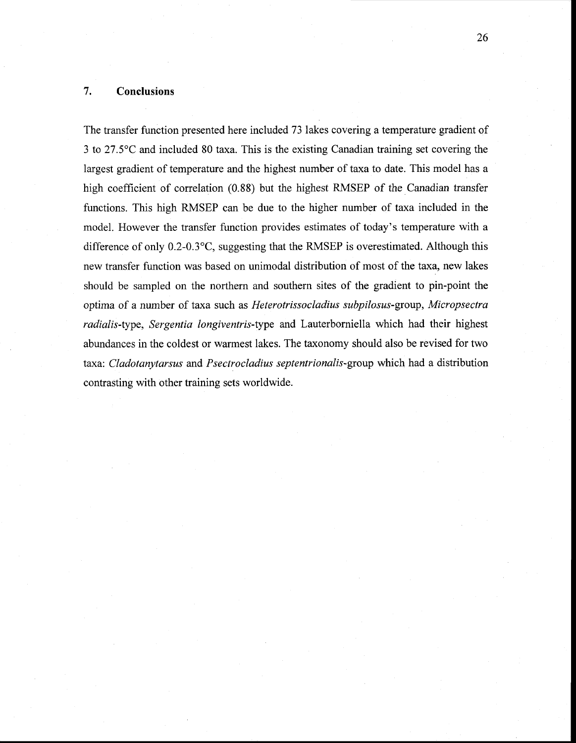## **7. Conclusions**

The transfer function presented here included 73 lakes covering a temperature gradient of 3 to 27.5°C and included 80 taxa. This is the existing Canadian training set covering the largest gradient of temperature and the highest number of taxa to date. This model has a high coefficient of correlation (0.88) but the highest RMSEP of the Canadian transfer functions. This high RMSEP can be due to the higher number of taxa included in the model. However the transfer function provides estimates of today's temperature with a difference of only 0.2-0.3°C, suggesting that the RMSEP is overestimated. Although this new transfer function was based on unimodal distribution of most of the taxa, new lakes should be sampled on the northern and southern sites of the gradient to pin-point the optima of a number of taxa such as *Heterotrissocladius subpilosus-group, Micropsectra radialis-type, Sergentia longiventris-type* and Lauterborniella which had their highest abundances in the coldest or warmest lakes. The taxonomy should also be revised for two taxa: *Cladotanytarsus* and *Psectrocladius septentrionalis-group* which had a distribution contrasting with other training sets worldwide.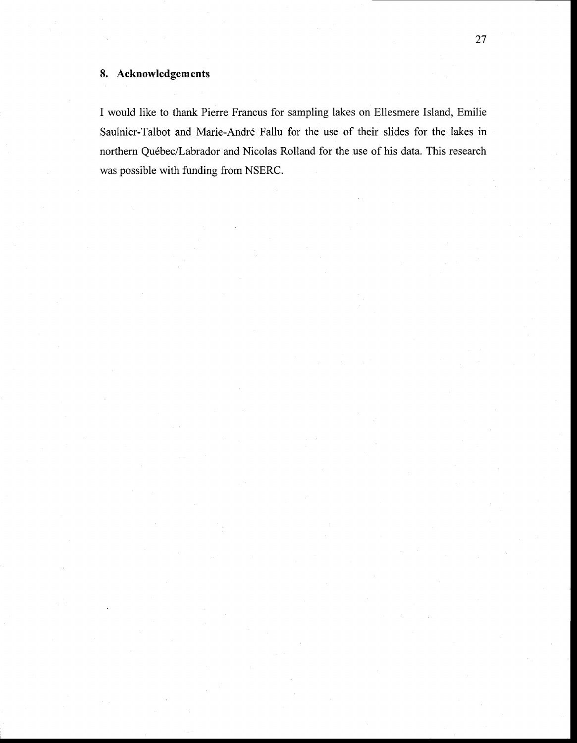# **8. Acknowledgements**

1 would like to thank Pierre Francus for sampling lakes on Ellesmere Island, Emilie Saulnier-Talbot and Marie-André Fallu for the use of their slides for the lakes in northern Québec/Labrador and Nicolas Rolland for the use of his data. This research was possible with funding from NSERC.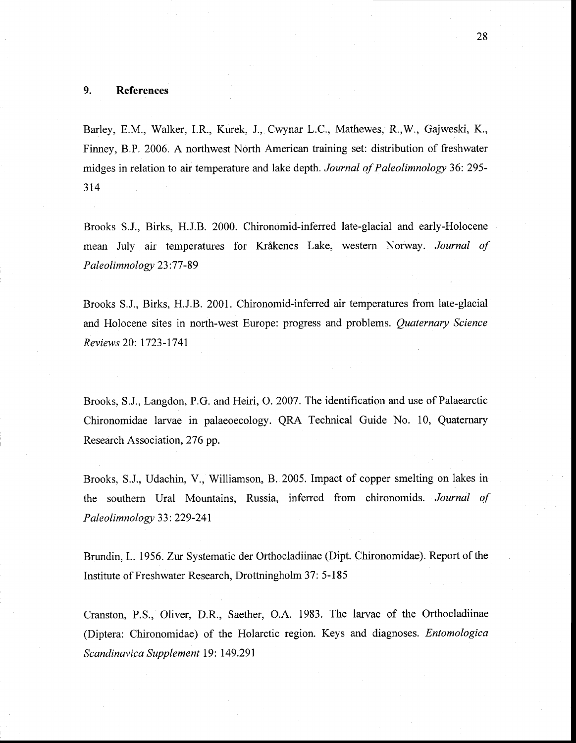## **9. References**

Barley, E.M., Walker, I.R, Kurek, l, Cwynar L.C., Mathewes, R,W., Gajweski, K., Finney, B.P. 2006. A northwest North American training set: distribution of freshwater midges in relation to air temperature and lake depth. *Journal of Paleolimnology* 36: 295- 314

Brooks S.l, Birks, H.IB. 2000. Chironomid-inferred late-glacial and early-Holocene mean July air temperatures for Krâkenes Lake, western Norway. *Journal of Paleolimnology 23:77-89* 

Brooks S.l, Birks, H.J.B. 2001. Chironomid-inferred air temperatures from late-glacial and Holocene sites in north-west Europe: progress and problems. *Quaternary Science Reviews* 20: 1723-1741

Brooks, S.l, Langdon, P.G. and Heiri, O. 2007. The identification and use of Palaearctic Chironomidae larvae in palaeoecology. QRA Technical Guide No. 10, Quaternary Research Association, 276 pp.

Brooks, S.l, Udachin, V., Williamson, B. 2005. Impact of copper smelting on lakes in the southern Ural Mountains, Russia, inferred from chironomids. *Journal of Paleolimnology* 33: 229-241

Brundin, L. 1956. Zur Systematic der Orthocladiinae (Dipt. Chironomidae). Report of the Institute of Freshwater Research, Drottningholm 37: 5-185

Cranston, P.S., Oliver, D.R, Saether, O.A. 1983. The larvae of the Orthocladiinae (Diptera: Chironomidae) of the Holarctic region. Keys and diagnoses. *Entomologica Scandinavica Supplement* 19: 149.291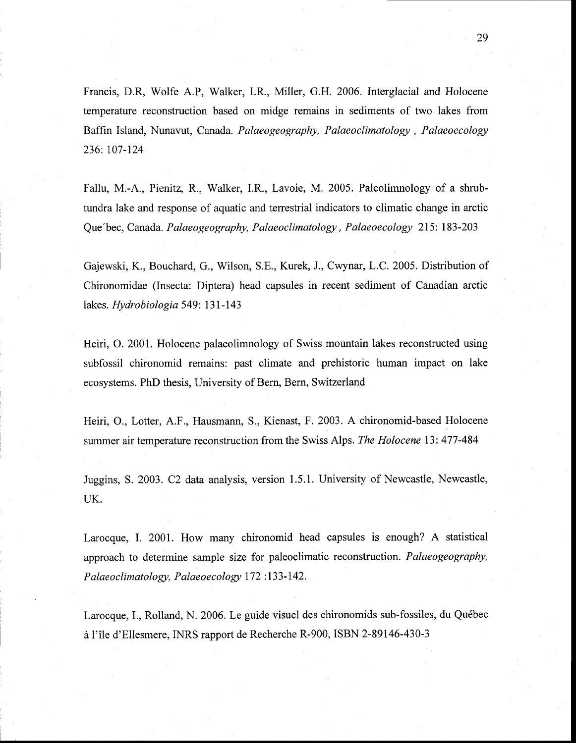Francis, D.R, Wolfe A.P, Walker, I.R, Miller, G.H. 2006. lnterglacial and Holocene temperature reconstruction based on midge remains in sediments of two lakes from Baffin Island, Nunavut, Canada. *Palaeogeography, Palaeoclimatology, Palaeoecology*  236: 107-124

Fallu, M.-A., Pienitz, R., Walker, I.R., Lavoie, M. 2005. Paleolimnology of a shrubtundra lake and response of aquatic and terrestrial indicators to climatic change in arctic Que'bec, Canada. *Palaeogeography, Palaeoclimatology, Palaeoecology* 215: 183-203

Gajewski, K., Bouchard, G., Wilson, S.E., Kurek, J., Cwynar, L.C. 2005. Distribution of Chironomidae (Insecta: Diptera) head capsules in recent sediment of Canadian arctic lakes. *Hydrobiologia* 549: 131-143

Heiri, O. 2001. Holocene palaeolimnology of Swiss mountain lakes reconstructed using subfossil chironomid remains: past climate and prehistoric human impact on lake ecosystems. PhD thesis, University of Bern, Bern, Switzerland

Heiri, O., Lotter, A.F., Hausmann, S., Kienast, F. 2003. A chironomid-based Holocene . summer air temperature reconstruction from the Swiss Alps. *The Holocene* 13: 477-484

Juggins, S. 2003. C2 data analysis, version 1.5.1. University of Newcastle, Newcastle, UK.

Larocque, 1. 2001. How many chironomid head capsules is enough? A statistical approach to determine sample size for paleoclimatic reconstruction. *Palaeogeography*, *Palaeoclimatology, Palaeoecology* 172 : 133-142.

Larocque, 1., Rolland, N. 2006. Le guide visuel des chironomids sub-fossiles, du Québec à l'île d'Ellesmere, INRS rapport de Recherche R-900, ISBN 2-89146-430-3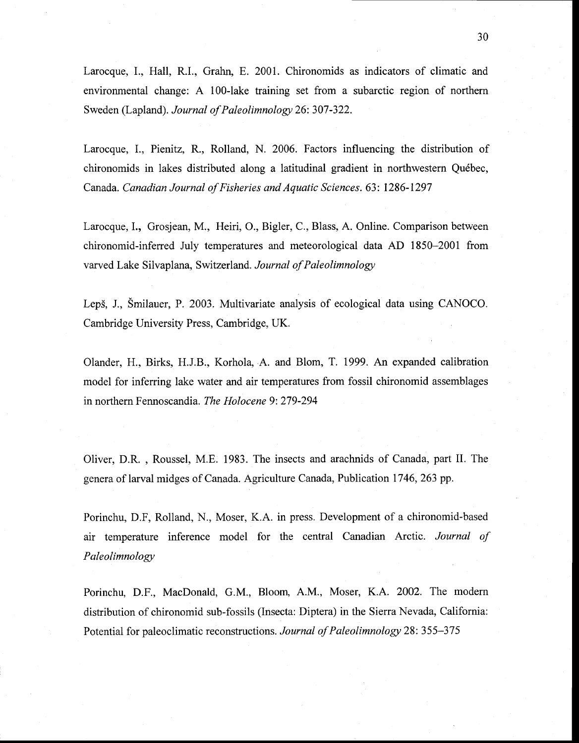Larocque, L, Hall, R.1., Grahn, E. 200l. Chironomids as indicators of climatic and environrnental change: A 100-lake training set from a subarctic region of northern Sweden (Lapland). *Journal of Paleolimnology* 26: 307-322.

Larocque, L, Pienitz, R., Rolland, N. 2006. Factors influencing the distribution of chironomids in lakes distributed along a latitudinal gradient in northwestern Québec, Canada. *Canadian Journal of Fisheries and Aquatic Sciences.* 63: 1286-1297

Larocque, I., Grosjean, M., Heiri, O., Bigler, C., Blass, A. Online. Comparison between chironomid-inferred July temperatures and meteorological data AD 1850-2001 from varved Lake Silvaplana, Switzerland. *Journal of Paleolimnology* 

Leps, l, Smilauer, P. 2003. Multivariate analysis of ecological data using CANOCO. Cambridge University Press, Cambridge, UK.

Olander, H., Birks, H.J.B., Korhola, A. and Blom, T. 1999. An expanded calibration model for inferring lake water and air temperatures from fossil chironomid assemblages in northern Fennoscandia. *The Holocene* 9: 279-294

Oliver, D.R. , Roussel, M.E. 1983. The insects and arachnids of Canada, part II. The genera of larval midges of Canada. Agriculture Canada, Publication 1746, 263 pp.

Porinchu, D.F, Rolland, N., Moser, K.A. in press. Development of a chironomid-based air temperature inference model for the central Canadian Arctic. *Journal of Paleolimnology* 

Porinchu, D.F., MacDonald, G.M., Bloom, A.M., Moser, K.A. 2002. The modern distribution of chironomid sub-fossils (Insecta: Diptera) in the Sierra Nevada, California: Potential for paleoclimatic reconstructions. *Journal of Paleolimnology* 28: 355-375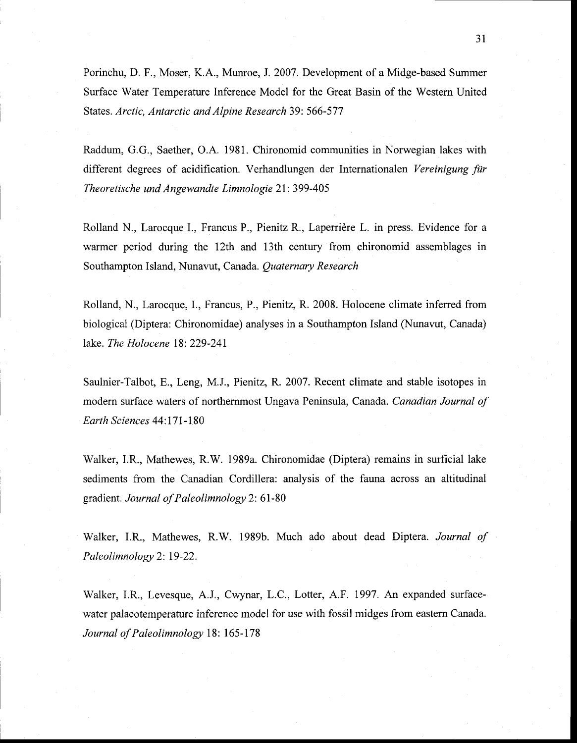Porinchu, D. F., Moser, K.A., Munroe, l 2007. Development of a Midge-based Summer Surface Water Temperature Inference Model for the Great Basin of the Western United States. *Arctic, Antarctic and Alpine Research* 39: 566-577

Raddum, G.G., Saether, D.A. 1981. Chironomid communities in Norwegian lakes with different degrees of acidification. Verhandlungen der Internationalen *Vereinigung für Theoretische und Angewandte Limnologie* 21: 399-405

Rolland N., Larocque L, Francus P., Pienitz R, Laperrière L. in press. Evidence for a warmer period during the 12th and 13th century from chironomid assemblages in Southampton Island, Nunavut, Canada. *Quaternary Research* 

Rolland, N., Larocque, L, Francus, P., Pienitz, R. 2008. Holocene climate inferred from biological (Diptera: Chironomidae) analyses in a Southampton Island (Nunavut, Canada) lake. *The Holocene* 18: 229-241

Saulnier-Talbot, E., Leng, M.J., Pienitz, R 2007. Recent climate and stable isotopes in modern surface waters of northernmost Ungava Peninsula, Canada. *Canadian Journal of Earth Sciences* 44: 171-180

Walker, I.R., Mathewes, R.W. 1989a. Chironomidae (Diptera) remains in surficial lake sediments from the Canadian Cordillera: analysis of the fauna across an altitudinal gradient. *Journal ofPaleolimnology* 2: 61-80

Walker, 1.R, Mathewes, RW. 1989b. Much ado about dead Diptera. *Journal of Paleolimnology* 2: 19-22.

Walker, I.R., Levesque, A.J., Cwynar, L.C., Lotter, A.F. 1997. An expanded surfacewater palaeotemperature inference model for use with fossil midges from eastern Canada. Journal of Paleolimnology 18: 165-178